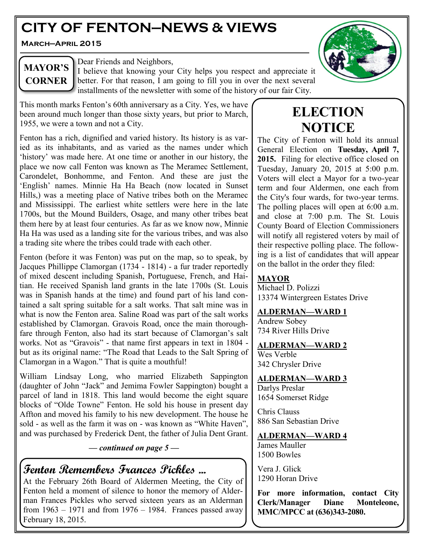# **CITY OF FENTON—NEWS & VIEWS**

**March—April 2015**



# **MAYOR'S CORNER**

Dear Friends and Neighbors,

I believe that knowing your City helps you respect and appreciate it better. For that reason, I am going to fill you in over the next several installments of the newsletter with some of the history of our fair City.

This month marks Fenton's 60th anniversary as a City. Yes, we have been around much longer than those sixty years, but prior to March, 1955, we were a town and not a City.

Fenton has a rich, dignified and varied history. Its history is as varied as its inhabitants, and as varied as the names under which 'history' was made here. At one time or another in our history, the place we now call Fenton was known as The Meramec Settlement, Carondelet, Bonhomme, and Fenton. And these are just the 'English' names. Minnie Ha Ha Beach (now located in Sunset Hills,) was a meeting place of Native tribes both on the Meramec and Mississippi. The earliest white settlers were here in the late 1700s, but the Mound Builders, Osage, and many other tribes beat them here by at least four centuries. As far as we know now, Minnie Ha Ha was used as a landing site for the various tribes, and was also a trading site where the tribes could trade with each other.

Fenton (before it was Fenton) was put on the map, so to speak, by Jacques Phillippe Clamorgan (1734 - 1814) - a fur trader reportedly of mixed descent including Spanish, Portuguese, French, and Haitian. He received Spanish land grants in the late 1700s (St. Louis was in Spanish hands at the time) and found part of his land contained a salt spring suitable for a salt works. That salt mine was in what is now the Fenton area. Saline Road was part of the salt works established by Clamorgan. Gravois Road, once the main thoroughfare through Fenton, also had its start because of Clamorgan's salt works. Not as "Gravois" - that name first appears in text in 1804 but as its original name: "The Road that Leads to the Salt Spring of Clamorgan in a Wagon." That is quite a mouthful!

William Lindsay Long, who married Elizabeth Sappington (daughter of John "Jack" and Jemima Fowler Sappington) bought a parcel of land in 1818. This land would become the eight square blocks of "Olde Towne" Fenton. He sold his house in present day Affton and moved his family to his new development. The house he sold - as well as the farm it was on - was known as "White Haven", and was purchased by Frederick Dent, the father of Julia Dent Grant.

#### *— continued on page 5 —*

# **Fenton Remembers Frances Pickles ...**

At the February 26th Board of Aldermen Meeting, the City of Fenton held a moment of silence to honor the memory of Alderman Frances Pickles who served sixteen years as an Alderman from  $1963 - 1971$  and from  $1976 - 1984$ . Frances passed away February 18, 2015.

# **ELECTION NOTICE**

The City of Fenton will hold its annual General Election on **Tuesday, April 7, 2015.** Filing for elective office closed on Tuesday, January 20, 2015 at 5:00 p.m. Voters will elect a Mayor for a two-year term and four Aldermen, one each from the City's four wards, for two-year terms. The polling places will open at 6:00 a.m. and close at 7:00 p.m. The St. Louis County Board of Election Commissioners will notify all registered voters by mail of their respective polling place. The following is a list of candidates that will appear on the ballot in the order they filed:

#### **MAYOR**

Michael D. Polizzi 13374 Wintergreen Estates Drive

#### **ALDERMAN—WARD 1**

Andrew Sobey 734 River Hills Drive

#### **ALDERMAN—WARD 2**

Wes Verble 342 Chrysler Drive

**ALDERMAN—WARD 3** Darlys Preslar

1654 Somerset Ridge

Chris Clauss 886 San Sebastian Drive

#### **ALDERMAN—WARD 4**

James Mauller 1500 Bowles

Vera J. Glick 1290 Horan Drive

**For more information, contact City Clerk/Manager Diane Monteleone, MMC/MPCC at (636)343-2080.**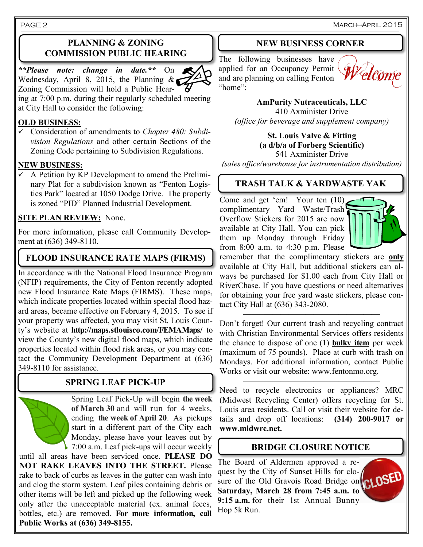March—April 2015

PAGE 2

### **PLANNING & ZONING COMMISSION PUBLIC HEARING**

*\*\*Please note: change in date.\*\** On Wednesday, April 8, 2015, the Planning  $\&$ Zoning Commission will hold a Public Hearing at 7:00 p.m. during their regularly scheduled meeting at City Hall to consider the following:

#### **OLD BUSINESS:**

 Consideration of amendments to *Chapter 480: Subdivision Regulations* and other certain Sections of the Zoning Code pertaining to Subdivision Regulations.

#### **NEW BUSINESS:**

 $\checkmark$  A Petition by KP Development to amend the Preliminary Plat for a subdivision known as "Fenton Logistics Park" located at 1050 Dodge Drive. The property is zoned "PID" Planned Industrial Development.

#### **SITE PLAN REVIEW:** None.

For more information, please call Community Development at (636) 349-8110.

### **FLOOD INSURANCE RATE MAPS (FIRMS)**

In accordance with the National Flood Insurance Program (NFIP) requirements, the City of Fenton recently adopted new Flood Insurance Rate Maps (FIRMS). These maps, which indicate properties located within special flood hazard areas, became effective on February 4, 2015. To see if your property was affected, you may visit St. Louis County's website at **http://maps.stlouisco.com/FEMAMaps/** to view the County's new digital flood maps, which indicate properties located within flood risk areas, or you may contact the Community Development Department at (636) 349-8110 for assistance.

### **SPRING LEAF PICK-UP**

Spring Leaf Pick-Up will begin **the week of March 30** and will run for 4 weeks, ending **the week of April 20**. As pickups start in a different part of the City each Monday, please have your leaves out by 7:00 a.m. Leaf pick-ups will occur weekly

until all areas have been serviced once. **PLEASE DO NOT RAKE LEAVES INTO THE STREET.** Please rake to back of curbs as leaves in the gutter can wash into and clog the storm system. Leaf piles containing debris or other items will be left and picked up the following week only after the unacceptable material (ex. animal feces, bottles, etc.) are removed. **For more information, call Public Works at (636) 349-8155.**

#### **NEW BUSINESS CORNER**

The following businesses have applied for an Occupancy Permit and are planning on calling Fenton "home":



**AmPurity Nutraceuticals, LLC**

410 Axminister Drive *(office for beverage and supplement company)*

> **St. Louis Valve & Fitting (a d/b/a of Forberg Scientific)** 541 Axminister Drive

*(sales office/warehouse for instrumentation distribution)*

# **TRASH TALK & YARDWASTE YAK**

Come and get 'em! Your ten (10) complimentary Yard Waste/Trash Overflow Stickers for 2015 are now available at City Hall. You can pick them up Monday through Friday from 8:00 a.m. to 4:30 p.m. Please



remember that the complimentary stickers are **only** available at City Hall, but additional stickers can always be purchased for \$1.00 each from City Hall or RiverChase. If you have questions or need alternatives for obtaining your free yard waste stickers, please contact City Hall at (636) 343-2080.

Don't forget! Our current trash and recycling contract with Christian Environmental Services offers residents the chance to dispose of one (1) **bulky item** per week (maximum of 75 pounds). Place at curb with trash on Mondays. For additional information, contact Public Works or visit our website: www.fentonmo.org.

——–——————————————

Need to recycle electronics or appliances? MRC (Midwest Recycling Center) offers recycling for St. Louis area residents. Call or visit their website for details and drop off locations: **(314) 200-9017 or www.midwrc.net.**

——–——————————————

### **BRIDGE CLOSURE NOTICE**

The Board of Aldermen approved a request by the City of Sunset Hills for closure of the Old Gravois Road Bridge on **CLOSED Saturday, March 28 from 7:45 a.m. to 9:15 a.m.** for their 1st Annual Bunny Hop 5k Run.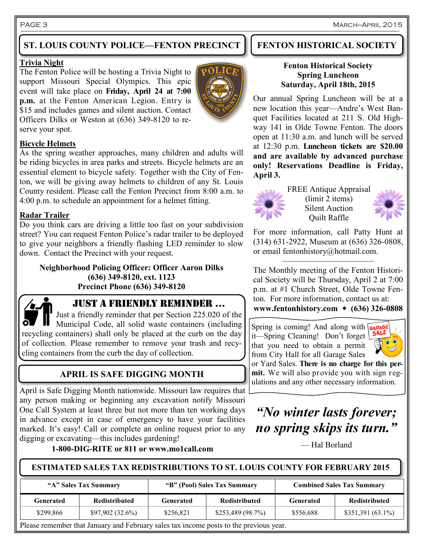# **ST. LOUIS COUNTY POLICE—FENTON PRECINCT**

#### **Trivia Night**

The Fenton Police will be hosting a Trivia Night to support Missouri Special Olympics. This epic event will take place on **Friday, April 24 at 7:00 p.m.** at the Fenton American Legion. Entry is \$15 and includes games and silent auction. Contact Officers Dilks or Weston at (636) 349-8120 to reserve your spot.



#### **Bicycle Helmets**

As the spring weather approaches, many children and adults will be riding bicycles in area parks and streets. Bicycle helmets are an essential element to bicycle safety. Together with the City of Fenton, we will be giving away helmets to children of any St. Louis County resident. Please call the Fenton Precinct from 8:00 a.m. to 4:00 p.m. to schedule an appointment for a helmet fitting.

#### **Radar Trailer**

Do you think cars are driving a little too fast on your subdivision street? You can request Fenton Police's radar trailer to be deployed to give your neighbors a friendly flashing LED reminder to slow down. Contact the Precinct with your request.

**Neighborhood Policing Officer: Officer Aaron Dilks (636) 349-8120, ext. 1123 Precinct Phone (636) 349-8120**



### JUST A FRIENDLY REMINDER ...

Just a friendly reminder that per Section 225.020 of the Municipal Code, all solid waste containers (including recycling containers) shall only be placed at the curb on the day of collection. Please remember to remove your trash and recycling containers from the curb the day of collection.

# **APRIL IS SAFE DIGGING MONTH**

April is Safe Digging Month nationwide. Missouri law requires that any person making or beginning any excavation notify Missouri One Call System at least three but not more than ten working days in advance except in case of emergency to have your facilities marked. It's easy! Call or complete an online request prior to any digging or excavating—this includes gardening!

**1-800-DIG-RITE or 811 or www.mo1call.com**

## **FENTON HISTORICAL SOCIETY**

#### **Fenton Historical Society Spring Luncheon Saturday, April 18th, 2015**

Our annual Spring Luncheon will be at a new location this year—Andre's West Banquet Facilities located at 211 S. Old Highway 141 in Olde Towne Fenton. The doors open at 11:30 a.m. and lunch will be served at 12:30 p.m. **Luncheon tickets are \$20.00 and are available by advanced purchase only! Reservations Deadline is Friday, April 3.**



FREE Antique Appraisal (limit 2 items) Silent Auction Quilt Raffle



For more information, call Patty Hunt at (314) 631-2922, Museum at (636) 326-0808, or email fentonhistory@hotmail.com.

———————————

The Monthly meeting of the Fenton Historical Society will be Thursday, April 2 at 7:00 p.m. at #1 Church Street, Olde Towne Fenton. For more information, contact us at:

**www.fentonhistory.com (636) 326-0808**

Spring is coming! And along with GARAGE it—Spring Cleaning! Don't forget that you need to obtain a permit from City Hall for all Garage Sales



or Yard Sales. **There is no charge for this permit.** We will also provide you with sign regulations and any other necessary information.

# *"No winter lasts forever; no spring skips its turn."*

— Hal Borland

#### **ESTIMATED SALES TAX REDISTRIBUTIONS TO ST. LOUIS COUNTY FOR FEBRUARY 2015**

| "A" Sales Tax Summary |                      | "B" (Pool) Sales Tax Summary |                      | <b>Combined Sales Tax Summary</b> |                      |
|-----------------------|----------------------|------------------------------|----------------------|-----------------------------------|----------------------|
| Generated             | <b>Redistributed</b> | Generated                    | <b>Redistributed</b> | Generated                         | <b>Redistributed</b> |
| \$299,866             | \$97,902(32.6%)      | \$256.821                    | \$253,489 (98.7%)    | \$556,688                         | $$351,391(63.1\%)$   |

Please remember that January and February sales tax income posts to the previous year.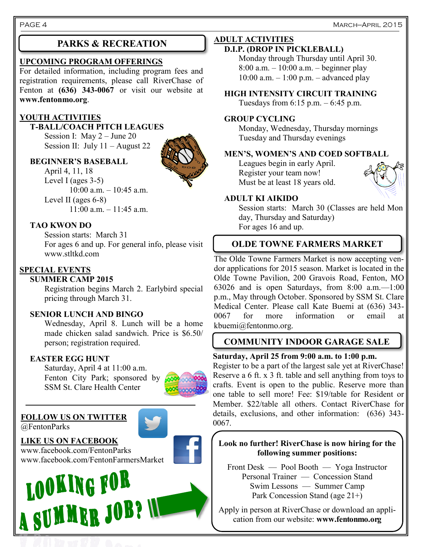#### **UPCOMING PROGRAM OFFERINGS**

For detailed information, including program fees and registration requirements, please call RiverChase of Fenton at **(636) 343-0067** or visit our website at **www.fentonmo.org**.

#### **YOUTH ACTIVITIES**

#### **T-BALL/COACH PITCH LEAGUES**

Session I: May 2 – June 20 Session II: July 11 – August 22

#### **BEGINNER'S BASEBALL**

April 4, 11, 18 Level I (ages 3-5)  $10:00$  a.m.  $-10:45$  a.m. Level II (ages 6-8)

11:00 a.m. – 11:45 a.m.

#### **TAO KWON DO**

Session starts: March 31 For ages 6 and up. For general info, please visit www.stltkd.com

#### **SPECIAL EVENTS**

#### **SUMMER CAMP 2015**

Registration begins March 2. Earlybird special pricing through March 31.

#### **SENIOR LUNCH AND BINGO**

Wednesday, April 8. Lunch will be a home made chicken salad sandwich. Price is \$6.50/ person; registration required.

#### **EASTER EGG HUNT**

Saturday, April 4 at 11:00 a.m. Fenton City Park; sponsored by SSM St. Clare Health Center



#### **FOLLOW US ON TWITTER** @FentonParks



## **LIKE US ON FACEBOOK**

www.facebook.com/FentonParks



# **PARKS & RECREATION ADULT ACTIVITIES**

#### **D.I.P. (DROP IN PICKLEBALL)**

Monday through Thursday until April 30. 8:00 a.m. – 10:00 a.m. – beginner play  $10:00$  a.m.  $-1:00$  p.m.  $-$  advanced play

#### **HIGH INTENSITY CIRCUIT TRAINING**

Tuesdays from  $6:15$  p.m.  $-6:45$  p.m.

#### **GROUP CYCLING**

Monday, Wednesday, Thursday mornings Tuesday and Thursday evenings

#### **MEN'S, WOMEN'S AND COED SOFTBALL**

Leagues begin in early April. Register your team now! Must be at least 18 years old.



#### **ADULT KI AIKIDO**

Session starts: March 30 (Classes are held Mon day, Thursday and Saturday) For ages 16 and up.

## **OLDE TOWNE FARMERS MARKET**

The Olde Towne Farmers Market is now accepting vendor applications for 2015 season. Market is located in the Olde Towne Pavilion, 200 Gravois Road, Fenton, MO 63026 and is open Saturdays, from 8:00 a.m.—1:00 p.m., May through October. Sponsored by SSM St. Clare Medical Center. Please call Kate Buemi at (636) 343- 0067 for more information or email at kbuemi@fentonmo.org.

# **COMMUNITY INDOOR GARAGE SALE**

#### **Saturday, April 25 from 9:00 a.m. to 1:00 p.m.**

Register to be a part of the largest sale yet at RiverChase! Reserve a 6 ft. x 3 ft. table and sell anything from toys to crafts. Event is open to the public. Reserve more than one table to sell more! Fee: \$19/table for Resident or Member. \$22/table all others. Contact RiverChase for details, exclusions, and other information: (636) 343- 0067.

#### **Look no further! RiverChase is now hiring for the following summer positions:**

Front Desk — Pool Booth — Yoga Instructor Personal Trainer — Concession Stand Swim Lessons — Summer Camp Park Concession Stand (age 21+)

Apply in person at RiverChase or download an application from our website: **www.fentonmo.org**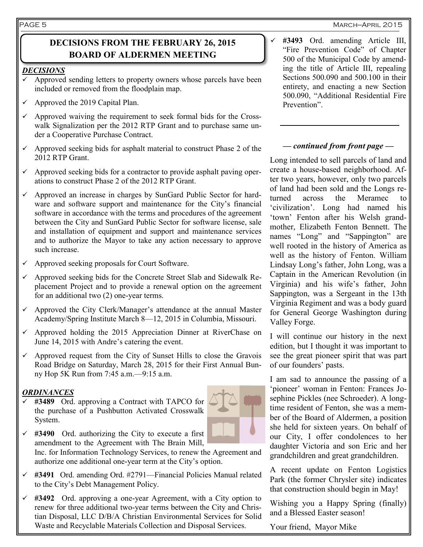#### PAGE 5

#### March—April 2015

## **DECISIONS FROM THE FEBRUARY 26, 2015 BOARD OF ALDERMEN MEETING**

#### *DECISIONS*

- Approved sending letters to property owners whose parcels have been included or removed from the floodplain map.
- $\checkmark$  Approved the 2019 Capital Plan.
- $\checkmark$  Approved waiving the requirement to seek formal bids for the Crosswalk Signalization per the 2012 RTP Grant and to purchase same under a Cooperative Purchase Contract.
- $\checkmark$  Approved seeking bids for asphalt material to construct Phase 2 of the 2012 RTP Grant.
- $\checkmark$  Approved seeking bids for a contractor to provide asphalt paving operations to construct Phase 2 of the 2012 RTP Grant.
- $\checkmark$  Approved an increase in charges by SunGard Public Sector for hardware and software support and maintenance for the City's financial software in accordance with the terms and procedures of the agreement between the City and SunGard Public Sector for software license, sale and installation of equipment and support and maintenance services and to authorize the Mayor to take any action necessary to approve such increase.
- $\checkmark$  Approved seeking proposals for Court Software.
- $\checkmark$  Approved seeking bids for the Concrete Street Slab and Sidewalk Replacement Project and to provide a renewal option on the agreement for an additional two (2) one-year terms.
- $\checkmark$  Approved the City Clerk/Manager's attendance at the annual Master Academy/Spring Institute March 8—12, 2015 in Columbia, Missouri.
- $\checkmark$  Approved holding the 2015 Appreciation Dinner at RiverChase on June 14, 2015 with Andre's catering the event.
- $\checkmark$  Approved request from the City of Sunset Hills to close the Gravois Road Bridge on Saturday, March 28, 2015 for their First Annual Bunny Hop 5K Run from 7:45 a.m.—9:15 a.m.

#### *ORDINANCES*

 **#3489** Ord. approving a Contract with TAPCO for the purchase of a Pushbutton Activated Crosswalk System.



- $\checkmark$  #3490 Ord. authorizing the City to execute a first amendment to the Agreement with The Brain Mill, Inc. for Information Technology Services, to renew the Agreement and authorize one additional one-year term at the City's option.
- **#3491** Ord. amending Ord. #2791—Financial Policies Manual related to the City's Debt Management Policy.
- **#3492** Ord. approving a one-year Agreement, with a City option to renew for three additional two-year terms between the City and Christian Disposal, LLC D/B/A Christian Environmental Services for Solid Waste and Recyclable Materials Collection and Disposal Services.

 **#3493** Ord. amending Article III, "Fire Prevention Code" of Chapter 500 of the Municipal Code by amending the title of Article III, repealing Sections 500.090 and 500.100 in their entirety, and enacting a new Section 500.090, "Additional Residential Fire Prevention".

#### *— continued from front page —*

Long intended to sell parcels of land and create a house-based neighborhood. After two years, however, only two parcels of land had been sold and the Longs returned across the Meramec to 'civilization'. Long had named his 'town' Fenton after his Welsh grandmother, Elizabeth Fenton Bennett. The names "Long" and "Sappington" are well rooted in the history of America as well as the history of Fenton. William Lindsay Long's father, John Long, was a Captain in the American Revolution (in Virginia) and his wife's father, John Sappington, was a Sergeant in the 13th Virginia Regiment and was a body guard for General George Washington during Valley Forge.

I will continue our history in the next edition, but I thought it was important to see the great pioneer spirit that was part of our founders' pasts.

I am sad to announce the passing of a 'pioneer' woman in Fenton: Frances Josephine Pickles (nee Schroeder). A longtime resident of Fenton, she was a member of the Board of Aldermen, a position she held for sixteen years. On behalf of our City, I offer condolences to her daughter Victoria and son Eric and her grandchildren and great grandchildren.

A recent update on Fenton Logistics Park (the former Chrysler site) indicates that construction should begin in May!

Wishing you a Happy Spring (finally) and a Blessed Easter season!

Your friend, Mayor Mike